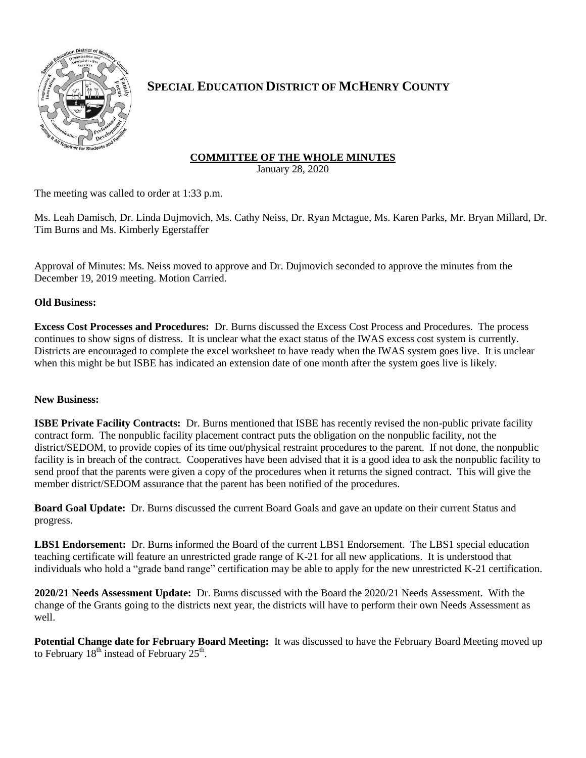

# **SPECIAL EDUCATION DISTRICT OF MCHENRY COUNTY**

## **COMMITTEE OF THE WHOLE MINUTES**

January 28, 2020

The meeting was called to order at 1:33 p.m.

Ms. Leah Damisch, Dr. Linda Dujmovich, Ms. Cathy Neiss, Dr. Ryan Mctague, Ms. Karen Parks, Mr. Bryan Millard, Dr. Tim Burns and Ms. Kimberly Egerstaffer

Approval of Minutes: Ms. Neiss moved to approve and Dr. Dujmovich seconded to approve the minutes from the December 19, 2019 meeting. Motion Carried.

### **Old Business:**

**Excess Cost Processes and Procedures:** Dr. Burns discussed the Excess Cost Process and Procedures. The process continues to show signs of distress. It is unclear what the exact status of the IWAS excess cost system is currently. Districts are encouraged to complete the excel worksheet to have ready when the IWAS system goes live. It is unclear when this might be but ISBE has indicated an extension date of one month after the system goes live is likely.

#### **New Business:**

**ISBE Private Facility Contracts:** Dr. Burns mentioned that ISBE has recently revised the non-public private facility contract form. The nonpublic facility placement contract puts the obligation on the nonpublic facility, not the district/SEDOM, to provide copies of its time out/physical restraint procedures to the parent. If not done, the nonpublic facility is in breach of the contract. Cooperatives have been advised that it is a good idea to ask the nonpublic facility to send proof that the parents were given a copy of the procedures when it returns the signed contract. This will give the member district/SEDOM assurance that the parent has been notified of the procedures.

**Board Goal Update:** Dr. Burns discussed the current Board Goals and gave an update on their current Status and progress.

**LBS1 Endorsement:** Dr. Burns informed the Board of the current LBS1 Endorsement. The LBS1 special education teaching certificate will feature an unrestricted grade range of K-21 for all new applications. It is understood that individuals who hold a "grade band range" certification may be able to apply for the new unrestricted K-21 certification.

**2020/21 Needs Assessment Update:** Dr. Burns discussed with the Board the 2020/21 Needs Assessment. With the change of the Grants going to the districts next year, the districts will have to perform their own Needs Assessment as well.

**Potential Change date for February Board Meeting:** It was discussed to have the February Board Meeting moved up to February  $18^{\text{th}}$  instead of February  $25^{\text{th}}$ .